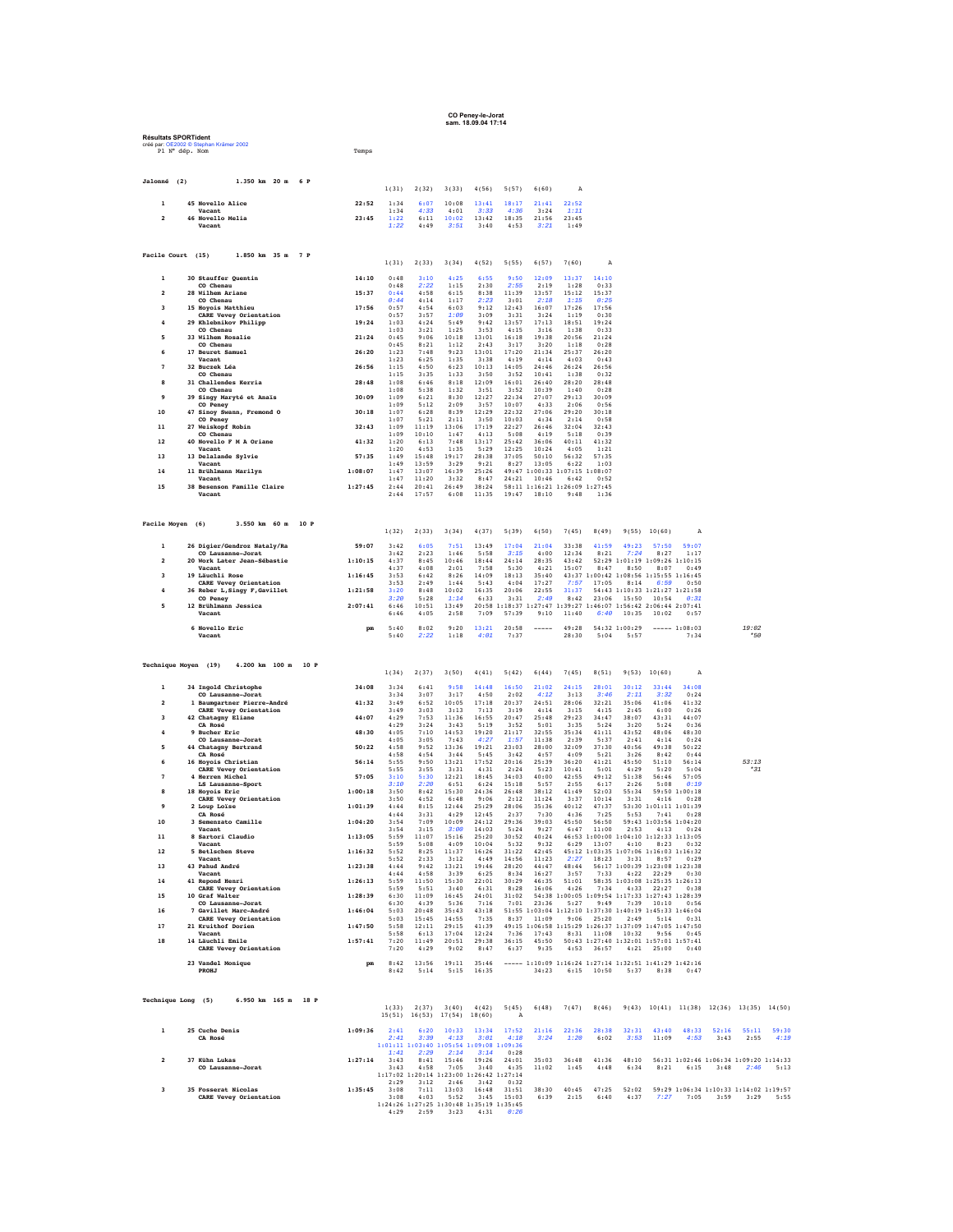## **CO Peney-le-Jorat sam. 18.09.04 17:14**

|                         | <b>Résultats SPORTident</b><br>créé par: OE2002 @ Stephan Krämer 2002<br>Pl N° dép. Nom | Temps              |                                        |                                                                                                                                                      |                       |                                                               |                        |                        |                                                                                                                                                         |                        |                                                    |                               |                       |                                                                                                                          |      |
|-------------------------|-----------------------------------------------------------------------------------------|--------------------|----------------------------------------|------------------------------------------------------------------------------------------------------------------------------------------------------|-----------------------|---------------------------------------------------------------|------------------------|------------------------|---------------------------------------------------------------------------------------------------------------------------------------------------------|------------------------|----------------------------------------------------|-------------------------------|-----------------------|--------------------------------------------------------------------------------------------------------------------------|------|
| Jalonné (2)             | 1.350 km 20 m 6 P                                                                       |                    | 1(31)                                  | 2(32)                                                                                                                                                | 3(33)                 | 4(56)                                                         | 5(57)                  | 6(60)                  | A                                                                                                                                                       |                        |                                                    |                               |                       |                                                                                                                          |      |
| $\mathbf{1}$            | 45 Novello Alice                                                                        |                    | 22:52<br>1:34                          | 6:07                                                                                                                                                 | 10:08                 | 13:41                                                         | 18:17                  | 21:41                  | 22:52                                                                                                                                                   |                        |                                                    |                               |                       |                                                                                                                          |      |
|                         | Vacant<br>46 Novello Melia<br>Vacant                                                    | 23:45              | 1:34<br>1:22<br>1:22                   | 4:33<br>6:11<br>4:49                                                                                                                                 | 4:01<br>10:02<br>3:51 | 3:33<br>13:42<br>3:40                                         | 4:36<br>18:35<br>4:53  | 3:24<br>21:56<br>3:21  | 1:11<br>23:45<br>1:49                                                                                                                                   |                        |                                                    |                               |                       |                                                                                                                          |      |
| Facile Court (15)       | 1.850 km 35 m 7 P                                                                       |                    | 1(31)                                  | 2(33)                                                                                                                                                | 3(34)                 | 4(52)                                                         | 5(55)                  | 6(57)                  | 7(60)                                                                                                                                                   | A                      |                                                    |                               |                       |                                                                                                                          |      |
| $\mathbf{1}$            | 30 Stauffer Quentin                                                                     |                    | 14:10<br>0:48                          | 3:10                                                                                                                                                 | 4:25                  | 6:55                                                          | 9:50                   | 12:09                  | 13:37                                                                                                                                                   | 14:10                  |                                                    |                               |                       |                                                                                                                          |      |
| $\overline{a}$          | CO Chenau<br>28 Wilhem Ariane                                                           | 15:37              | 0:48<br>0:44                           | 2:22<br>4:58                                                                                                                                         | 1:15<br>6:15          | 2:30<br>8:38                                                  | 2:55<br>11:39          | 2:19<br>13:57          | 1:28<br>15:12                                                                                                                                           | 0:33<br>15:37          |                                                    |                               |                       |                                                                                                                          |      |
| $\overline{\mathbf{3}}$ | CO Chenau<br>15 Hovois Matthieu                                                         | 17:56              | 0:44<br>0:57                           | 4:14<br>4:54                                                                                                                                         | 1:17<br>6:03          | 2:23<br>9:12                                                  | 3:01<br>12:43          | 2:18<br>16:07          | 1:15<br>17:26                                                                                                                                           | 0:25<br>17:56          |                                                    |                               |                       |                                                                                                                          |      |
| $\ddot{4}$              | CARE Vevey Orientation<br>29 Khlebnikov Philipp                                         |                    | 0:57<br>19:24<br>1:03<br>1:03          | 3:57<br>4:24<br>3:21                                                                                                                                 | 1:09<br>5:49<br>1:25  | 3:09<br>9:42                                                  | 3:31<br>13:57          | 3:24<br>17:13<br>3:16  | 1:19<br>18:51<br>1:38                                                                                                                                   | 0:30<br>19:24<br>0:33  |                                                    |                               |                       |                                                                                                                          |      |
| 5                       | CO Chenau<br>33 Wilhem Rosalie<br>CO Chenau                                             | 21:24              | 0:45<br>0:45                           | 9:06<br>8:21                                                                                                                                         | 10:18<br>1:12         | 3:53<br>13:01<br>2:43                                         | 4:15<br>16:18<br>3:17  | 19:38<br>3:20          | 20:56<br>1:18                                                                                                                                           | 21:24<br>0:28          |                                                    |                               |                       |                                                                                                                          |      |
| 6                       | 17 Beuret Samuel<br>Vacant                                                              | 26:20              | 1:23<br>1:23                           | 7:48<br>6:25                                                                                                                                         | 9:23<br>1:35          | 13:01<br>3:38                                                 | 17:20<br>4:19          | 21:34<br>4:14          | 25:37<br>4:03                                                                                                                                           | 26:20<br>0:43          |                                                    |                               |                       |                                                                                                                          |      |
| 7                       | 32 Buczek Léa<br>CO Chenau                                                              |                    | 26:56<br>1:15<br>1:15                  | 4:50<br>3:35                                                                                                                                         | 6:23<br>1:33          | 10:13<br>3:50                                                 | 14:05<br>3:52          | 24:46<br>10:41         | 26:24<br>1:38                                                                                                                                           | 26:56<br>0:32          |                                                    |                               |                       |                                                                                                                          |      |
| 8                       | 31 Challendes Kerria<br>CO Chenau                                                       |                    | 28:48<br>1:08<br>1:08                  | 6:46<br>5:38                                                                                                                                         | 8:18<br>1:32          | 12:09<br>3:51                                                 | 16:01<br>3:52          | 26:40<br>10:39         | 28:20<br>1:40                                                                                                                                           | 28:48<br>0:28          |                                                    |                               |                       |                                                                                                                          |      |
| 9                       | 39 Singy Maryté et Anaïs<br>CO Peney                                                    |                    | 30:09<br>1:09<br>1:09                  | 6:21<br>5:12                                                                                                                                         | 8:30<br>2:09          | 12:27<br>3:57                                                 | 22:34<br>10:07         | 27:07<br>4:33          | 29:13<br>2:06                                                                                                                                           | 30:09<br>0:56          |                                                    |                               |                       |                                                                                                                          |      |
| 10                      | 47 Sinoy Swann, Fremond O<br>CO Penev                                                   |                    | 30:18<br>1:07<br>1:07                  | 6:28<br>5:21                                                                                                                                         | 8:39<br>2:11          | 12:29<br>3:50                                                 | 22:32<br>10:03         | 27:06<br>4:34          | 29:20<br>2:14                                                                                                                                           | 30:18<br>0:58          |                                                    |                               |                       |                                                                                                                          |      |
| 11<br>12                | 27 Weiskopf Robin<br>CO Chenau<br>40 Novello F M A Oriane                               | 32:43              | 1:09<br>1:09<br>41:32<br>1:20          | 11:19<br>10:10<br>6:13                                                                                                                               | 13:06<br>1:47<br>7:48 | 17:19<br>4:13<br>13:17                                        | 22:27<br>5:08<br>25:42 | 26:46<br>4:19<br>36:06 | 32:04<br>5:18<br>40:11                                                                                                                                  | 32:43<br>0:39<br>41:32 |                                                    |                               |                       |                                                                                                                          |      |
| 13                      | Vacant<br>13 Delalande Sylvie                                                           | 57:35              | 1:20<br>1:49                           | 4:53<br>15:48                                                                                                                                        | 1:35<br>19:17         | 5:29<br>28:38                                                 | 12:25<br>37:05         | 10:24<br>50:10         | 4:05<br>56:32                                                                                                                                           | 1:21<br>57:35          |                                                    |                               |                       |                                                                                                                          |      |
| 14                      | Vacant<br>11 Brühlmann Marilyn                                                          | 1:08:07            | 1:49<br>1:47                           | 13:59<br>13:07                                                                                                                                       | 3:29<br>16:39         | 9:21<br>25:26                                                 | 8:27                   | 13:05                  | 6:22<br>49:47 1:00:33 1:07:15 1:08:07                                                                                                                   | 1:03                   |                                                    |                               |                       |                                                                                                                          |      |
| 15                      | Vacant<br>38 Besenson Famille Claire                                                    | 1:27:45            | 1:47<br>2:44                           | 11:20<br>20:41                                                                                                                                       | 3:32<br>26:49         | 8:47<br>38:24                                                 | 24:21                  | 10:46                  | 6:42<br>58:11 1:16:21 1:26:09 1:27:45                                                                                                                   | 0:52                   |                                                    |                               |                       |                                                                                                                          |      |
|                         | Vacant                                                                                  |                    | 2:44                                   | 17:57                                                                                                                                                | 6:08                  | 11:35                                                         | 19:47                  | 18:10                  | 9:48                                                                                                                                                    | 1:36                   |                                                    |                               |                       |                                                                                                                          |      |
| Facile Moyen (6)        | 3.550 km 60 m                                                                           | 10 P               | 1(32)                                  | 2(33)                                                                                                                                                | 3(34)                 | 4(37)                                                         | 5(39)                  | 6(50)                  | 7(45)                                                                                                                                                   | 8 (49)                 |                                                    | 9(55) 10(60)                  | A                     |                                                                                                                          |      |
| $\mathbf{1}$            | 26 Digier/Gendroz Nataly/Ra<br>CO Lausanne-Jorat                                        | 59:07              | 3:42<br>3:42                           | 6:05<br>2:23                                                                                                                                         | 7:51<br>1:46          | 13:49<br>5:58                                                 | 17:04<br>3:15          | 21:04<br>4:00          | 33:38<br>12:34                                                                                                                                          | 41:59<br>8:21          | 49:23<br>7:24                                      | 57:50<br>8:27                 | 59:07<br>1:17         |                                                                                                                          |      |
| $\overline{2}$          | 20 Work Later Jean-Sébastie<br>Vacant                                                   | 1:10:15            | 4:37<br>4:37                           | 8:45<br>4:08                                                                                                                                         | 10:46<br>2:01         | 18:44<br>7:58                                                 | 24:14<br>5:30          | 28:35<br>4:21          | 43:42<br>15:07                                                                                                                                          | 8:47                   | 52:29 1:01:19 1:09:26 1:10:15<br>8:50              | 8:07                          | 0:49                  |                                                                                                                          |      |
| 3                       | 19 Läuchli Rose<br>CARE Vevey Orientation                                               | 1:16:45            | 3:53<br>3:53                           | 6:42<br>2:49                                                                                                                                         | 8:26<br>1:44          | 14:09<br>5:43                                                 | 18:13<br>4:04          | 35:40<br>17:27         | 7:57                                                                                                                                                    | 17:05                  | 43:37 1:00:42 1:08:56 1:15:55 1:16:45              | $8:14$ 6:59                   | 0:50                  |                                                                                                                          |      |
| $\ddot{4}$              | 36 Reber L, Singy F, Gavillet<br>CO Peney                                               | 1:21:58            | 3:20<br>3:20                           | 8:48<br>5:28                                                                                                                                         | 10:02<br>1:14         | 16:35<br>6:33                                                 | 20:06<br>3:31          | 22:55<br>2:49          | 31:37<br>8:42                                                                                                                                           |                        | 54:43 1:10:33 1:21:27 1:21:58<br>23:06 15:50 10:54 |                               | 0:31                  |                                                                                                                          |      |
| 5                       | 12 Brühlmann Jessica<br>Vacant                                                          | 2:07:41            | 6:46<br>6:46                           | 10:51<br>4:05                                                                                                                                        | 13:49<br>2:58         | 7:09                                                          | 57:39                  |                        | 20:58 1:18:37 1:27:47 1:39:27 1:46:07 1:56:42 2:06:44 2:07:41<br>$9:10$ 11:40                                                                           |                        | $6:40$ 10:35 10:02                                 |                               | 0:57                  |                                                                                                                          |      |
|                         |                                                                                         |                    |                                        |                                                                                                                                                      |                       |                                                               |                        |                        |                                                                                                                                                         |                        |                                                    |                               |                       |                                                                                                                          |      |
|                         | 6 Novello Eric<br>Vacant                                                                |                    | $\mathbf{p}\mathbf{m}$<br>5:40<br>5:40 | 8:02<br>2:22                                                                                                                                         | 9:20<br>1:18          | 13:21<br>4:01                                                 | 20:58<br>7:37          | $- - - - -$            | 49:28<br>28:30                                                                                                                                          | 5:04                   | 54:32 1:00:29<br>5:57                              |                               | $--- 1:08:03$<br>7:34 | $19 - 02$<br>$*50$                                                                                                       |      |
|                         | Technique Moyen (19)<br>4.200 km 100 m 10 P                                             |                    |                                        |                                                                                                                                                      |                       |                                                               |                        |                        |                                                                                                                                                         |                        |                                                    |                               |                       |                                                                                                                          |      |
| 1                       | 34 Ingold Christophe                                                                    | 34:08              | 1(34)<br>3:34                          | 2(37)<br>6:41                                                                                                                                        | 3(50)<br>9:58         | 4(41)<br>14:48                                                | 5(42)<br>16:50         | 6(44)<br>21:02         | 7(45)<br>24:15                                                                                                                                          | 8(51)<br>28:01         | 30:12                                              | 9(53) 10(60)<br>33:44         | A<br>34:08            |                                                                                                                          |      |
| $\overline{2}$          | CO Lausanne-Jorat<br>1 Baumgartner Pierre-André                                         |                    | 3:34<br>41:32<br>3:49                  | 3:07<br>6:52                                                                                                                                         | 3:17<br>10:05         | 4:50<br>17:18                                                 | 2:02<br>20:37          | 4:12<br>24:51          | 3:13<br>28:06                                                                                                                                           | 3:46<br>32:21          | 2:11<br>35:06                                      | 3:32<br>41:06                 | 0:24<br>41:32         |                                                                                                                          |      |
| 3                       | CARE Vevey Orientation<br>42 Chatagny Eliane                                            | 44:07              | 3:49<br>4:29                           | 3:03<br>7:53                                                                                                                                         | 3:13<br>11:36         | 7:13<br>16:55                                                 | 3:19<br>20:47          | 4:14<br>25:48          | 3:15<br>29:23                                                                                                                                           | 4:15<br>34:47          | 2:45<br>38:07                                      | 6:00<br>43:31                 | 0:26<br>44:07         |                                                                                                                          |      |
| 4                       | CA Rosé<br>9 Bucher Eric                                                                | 48:30              | 4:29<br>4:05                           | 3:24<br>7:10                                                                                                                                         | 3:43<br>14:53         | 5:19<br>19:20                                                 | 3:52<br>21:17          | 5:01<br>32:55          | 3:35<br>35:34                                                                                                                                           | 5:24<br>41:11          | 3:20<br>43:52                                      | 5:24<br>48:06                 | 0:36<br>48:30         |                                                                                                                          |      |
| 5                       | CO Lausanne-Jorat<br>44 Chatagny Bertrand                                               | 50:22              | 4:05<br>4:58                           | 3:05<br>9:52                                                                                                                                         | 7:43<br>13:36         | 4:27<br>19:21                                                 | 1:57<br>23:03          | 11:38<br>28:00         | 2:39<br>32:09                                                                                                                                           | 5:37<br>37:30          | 2:41<br>40:56                                      | 4:14<br>49:38                 | 0:24<br>50:22         |                                                                                                                          |      |
| 6                       | CA Rosé<br>16 Hoyois Christian<br>CARE Vevev Orientation                                |                    | 4:58<br>56:14<br>5:55<br>5:55          | 4:54<br>9:50<br>3:55                                                                                                                                 | 3:44<br>13:21<br>3:31 | 5:45<br>17:52<br>4:31                                         | 3:42<br>20:16<br>2:24  | 4:57<br>25:39<br>5:23  | 4:09<br>36:20<br>10:41                                                                                                                                  | 5:21<br>41:21<br>5:01  | 3:26<br>45:50<br>4:29                              | 8:42<br>51:10<br>5:20         | 0:44<br>56:14<br>5:04 | 53:13<br>$*31$                                                                                                           |      |
| $\overline{7}$          | 4 Herren Michel<br>LS Lausanne-Sport                                                    | 57:05              | 3:10<br>3:10                           | 5:30<br>2:20                                                                                                                                         | 12:21<br>6:51         | 18:45<br>6:24                                                 | 34:03<br>15:18         | 40:00<br>5:57          | 42:55<br>2:55                                                                                                                                           | 49:12<br>6:17          | 51:38<br>2:26                                      | 56:46<br>5:08                 | 57:05<br>0:19         |                                                                                                                          |      |
| 8                       | 18 Hoyois Eric<br>CARE Vevey Orientation                                                | 1:00:18            | 3:50<br>3:50                           | 8:42<br>4:52                                                                                                                                         | 15:30<br>6:48         | 24:36<br>9:06                                                 | 26:48<br>2:12          | 38:12<br>11:24         | 41:49<br>3:37                                                                                                                                           | 52:03<br>10:14         | 55:34<br>3:31                                      | 4:16                          | 59:50 1:00:18<br>0:28 |                                                                                                                          |      |
| $\ddot{q}$              | 2 Loup Loïse<br>CA Rosé                                                                 | 1:01:39            | 4:44<br>4:44                           | 8:15<br>3:31                                                                                                                                         | 12:44<br>4:29         | 25:29<br>12:45                                                | 28:06<br>2:37          | 35:36<br>7:30          | 40:12<br>4:36                                                                                                                                           | 47:37<br>7:25          | 5:53                                               | 53:30 1:01:11 1:01:39<br>7:41 | 0:28                  |                                                                                                                          |      |
| 10                      | 3 Semenzato Camille<br>Vacant                                                           | 1:04:20            | 3:54<br>3:54                           | 7:09<br>3:15                                                                                                                                         | 10:09<br>3:00         | 24:12<br>14:03                                                | 29:36<br>5:24          | 39:03<br>9:27          | 45:50<br>6:47                                                                                                                                           | 56:50<br>11:00         | 2:53                                               | 59:43 1:03:56 1:04:20<br>4:13 | 0:24                  |                                                                                                                          |      |
| $11\,$<br>12            | 8 Sartori Claudio<br>Vacant<br>5 Betlschen Steve                                        | 1:13:05<br>1:16:32 | 5:59<br>5:52                           | $5:59$ 11:07<br>5:08<br>8:25                                                                                                                         | 4:09                  | 15:16 25:20<br>10:04                                          | 5:32                   | 9:32                   | 30:52 40:24 46:53 1:00:00 1:04:10 1:12:33 1:13:05                                                                                                       |                        | 6:29 13:07 4:10 8:23 0:32                          |                               |                       |                                                                                                                          |      |
| 13                      | Vacant<br>43 Pahud André                                                                | 1:23:38            | 5:52<br>4:44                           | 2:33                                                                                                                                                 |                       | $\begin{array}{rrr} 11:37 & 16:26 \\ 3:12 & 4:49 \end{array}$ |                        |                        | $\begin{array}{cccccc} 31:22 & 42:45 & 45:12 & 1:03:35 & 1:07:06 & 1:16:03 & 1:16:32 \\ 14:56 & 11:23 & 2:27 & 18:23 & 3:31 & 8:57 & 0:29 \end{array}$  |                        |                                                    |                               |                       |                                                                                                                          |      |
| 14                      | Vacant<br>41 Repond Henri                                                               | 1:26:13            |                                        | $\begin{array}{cccc} 4:44 & 4:58 & 3:39 & 6:25 \\ 5:59 & 11:50 & 15:30 & 22:01 \end{array}$                                                          |                       |                                                               |                        |                        |                                                                                                                                                         |                        |                                                    |                               |                       |                                                                                                                          |      |
| 15                      | <b>CARE Vevey Orientation</b><br>10 Graf Walter                                         | 1:28:39            | 5:59                                   | 5:51<br>6:30 11:09                                                                                                                                   | 3:40                  | 6:31<br>16:45 24:01                                           |                        |                        | $\begin{array}{cccccc} 8:28 & 16:06 & 4:26 & 7:34 & 4:33 & 22:27 & 0:38 \\ 31:02 & 54:38 & 1:00:05 & 1:09:54 & 1:17:33 & 1:27:43 & 1:28:39 \end{array}$ |                        |                                                    |                               |                       |                                                                                                                          |      |
| 16                      | <b>CO Lausanne-Jorat</b><br>7 Gavillet Marc-André                                       | 1:46:04            | 6:30<br>5:03                           | 4:39<br>20:48                                                                                                                                        |                       | 5:36 7:16<br>$35:43$ $43:18$                                  |                        |                        | 7:01 23:36 5:27 9:49 7:39 10:10 0:56<br>51:55 1:03:04 1:12:10 1:37:30 1:40:19 1:45:33 1:46:04                                                           |                        |                                                    |                               |                       |                                                                                                                          |      |
| 17                      | CARE Vevey Orientation<br>21 Kruithof Dorien<br>Vacant                                  | 1:47:50            | 5:58                                   | $5:03$ 15:45 14:55<br>5:58 12:11<br>6:13                                                                                                             |                       | 7:35<br>29:15 41:39                                           |                        |                        | 8:37 11:09 9:06 25:20 2:49 5:14 0:31<br>49:15 1:06:58 1:15:29 1:26:37 1:37:09 1:47:05 1:47:50                                                           |                        |                                                    |                               |                       |                                                                                                                          |      |
| 18                      | 14 Läuchli Emile<br><b>CARE Vevey Orientation</b>                                       | 1:57:41            | 7:20                                   | 7:20 11:49 20:51 29:38<br>4:29                                                                                                                       | 9:02                  | 17:04 12:24<br>8:47                                           | 6:37                   |                        | 7:36 17:43 8:31 11:08 10:32 9:56 0:45<br>36:15  45:50  50:43  1:27:40  1:32:01  1:57:01  1:57:41<br>9:35 4:53 36:57                                     |                        |                                                    | $4:21$ 25:00                  | 0:40                  |                                                                                                                          |      |
|                         | 23 Vandel Monique<br><b>PROHJ</b>                                                       |                    | pm                                     | $\begin{array}{cccc} 8:42 & 13:56 & 19:11 & 35:46 \\ 8:42 & 5:14 & 5:15 & 16:35 \end{array}$                                                         |                       |                                                               |                        |                        | ----- 1:10:09 1:16:24 1:27:14 1:32:51 1:41:29 1:42:16<br>34:23 6:15 10:50 5:37 8:38 0:47                                                                |                        |                                                    |                               |                       |                                                                                                                          |      |
|                         | 6.950 km 165 m 18 P<br>Technique Long (5)                                               |                    |                                        |                                                                                                                                                      |                       |                                                               |                        |                        |                                                                                                                                                         |                        |                                                    |                               |                       |                                                                                                                          |      |
|                         |                                                                                         |                    |                                        | $1(33)$ $2(37)$ $3(40)$ $4(42)$<br>15(51) 16(53) 17(54) 18(60)                                                                                       |                       |                                                               | A                      |                        |                                                                                                                                                         |                        |                                                    |                               |                       | $5(45)$ $6(48)$ $7(47)$ $8(46)$ $9(43)$ $10(41)$ $11(38)$ $12(36)$ $13(35)$ $14(50)$                                     |      |
| $\mathbf 1$             | 25 Cuche Denis<br>CA Rosé                                                               | 1:09:36            | 2:41<br>2:41                           | 3:39                                                                                                                                                 | $6:20$ 10:33<br>4:13  | 13:34<br>3:01                                                 | 17:52<br>4:18          |                        | $3:24$ $1:20$                                                                                                                                           | 6:02                   |                                                    |                               |                       | 21:16 22:36 28:38 32:31 43:40 48:33 52:16 55:11 59:30<br>$3:53$ 11:09 $4:53$ 3:43 2:55                                   | 4:19 |
|                         |                                                                                         |                    |                                        | 1:01:11 1:03:40 1:05:54 1:09:08 1:09:36                                                                                                              |                       |                                                               |                        |                        |                                                                                                                                                         |                        |                                                    |                               |                       |                                                                                                                          |      |
| $\overline{2}$          | 37 Kühn Lukas<br><b>CO Lausanne-Jorat</b>                                               | 1:27:14            | 3:43<br>3:43                           | $\begin{array}{cccc} 1:41 & 2:29 & 2:14 & 3:14 & 0:28 \\ 3:43 & 8:41 & 15:46 & 19:26 & 24:01 \end{array}$<br>1:17:02 1:20:14 1:23:00 1:26:42 1:27:14 | $4:58$ 7:05           | 3:40                                                          |                        |                        | $4:35$ $11:02$ $1:45$                                                                                                                                   | 4:48                   |                                                    |                               |                       | 24:01 35:03 36:48 41:36 48:10 56:31 1:02:46 1:06:34 1:09:20 1:14:33<br>6:34 8:21 6:15 3:48 2:46 5:13                     |      |
| $\overline{\mathbf{3}}$ | 35 Fosserat Nicolas                                                                     | 1:35:45            | 3:08                                   | 2:29 3:12 2:46 3:42 0:32<br>7:11                                                                                                                     | 5:52                  | 13:03 16:48                                                   |                        |                        |                                                                                                                                                         |                        |                                                    |                               |                       | $31:51 \qquad 38:30 \qquad 40:45 \qquad 47:25 \qquad 52:02 \qquad 59:29 \ \ 1:06:34 \ \ 1:10:33 \ \ 1:14:02 \ \ 1:19:57$ |      |